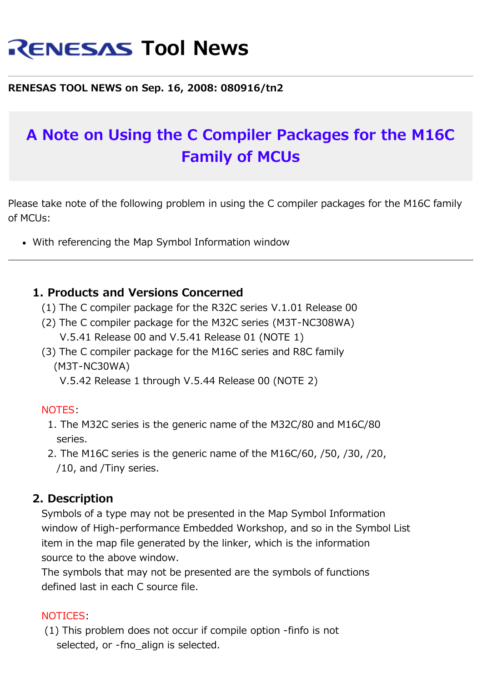# **RENESAS Tool News**

#### **RENESAS TOOL NEWS on Sep. 16, 2008: 080916/tn2**

## **A Note on Using the C Compiler Packages for the M16C Family of MCUs**

Please take note of the following problem in using the C compiler packages for the M16C family of MCUs:

With referencing the Map Symbol Information window

#### **1. Products and Versions Concerned**

- (1) The C compiler package for the R32C series V.1.01 Release 00
- (2) The C compiler package for the M32C series (M3T-NC308WA) V.5.41 Release 00 and V.5.41 Release 01 (NOTE 1)
- (3) The C compiler package for the M16C series and R8C family (M3T-NC30WA)

V.5.42 Release 1 through V.5.44 Release 00 (NOTE 2)

#### NOTES:

- 1. The M32C series is the generic name of the M32C/80 and M16C/80 series.
- 2. The M16C series is the generic name of the M16C/60, /50, /30, /20, /10, and /Tiny series.

#### **2. Description**

 Symbols of a type may not be presented in the Map Symbol Information window of High-performance Embedded Workshop, and so in the Symbol List item in the map file generated by the linker, which is the information source to the above window.

 The symbols that may not be presented are the symbols of functions defined last in each C source file.

#### NOTICES:

 (1) This problem does not occur if compile option -finfo is not selected, or -fno\_align is selected.